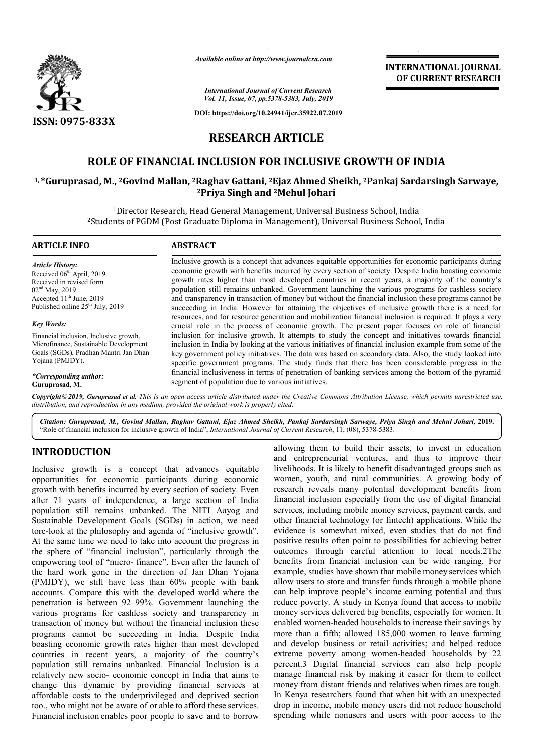

*Available online at http://www.journalcra.com*

*International Journal of Current Research Vol. 11, Issue, 07, pp.5378-5383, July, 2019*

**DOI: https://doi.org/10.24941/ijcr.35922.07.2019**

# **INTERNATIONAL JOURNAL OF CURRENT RESEARCH**

# **RESEARCH ARTICLE**

# **ROLE OF FINANCIAL INCLUSION FOR INCLUSIVE GROWTH OF INDIA FINANCIAL**

## <sup>1,</sup>\*Guruprasad, M., <sup>2</sup>Govind Mallan, <sup>2</sup>Raghav Gattani, <sup>2</sup>Ejaz Ahmed Sheikh, <sup>2</sup>Pankaj Sardarsingh Sarwaye, **2Priya Singh and 2Mehul Johari**

<sup>1</sup>Director Research, Head General Management, Universal Business School, India<br><sup>2</sup>Students of PGDM (Post Graduate Diploma in Management), Universal Business School, India Director Research, Head General Management, Universal Business School, India

#### **ARTICLE INFO ABSTRACT** Inclusive growth is a concept that advances equitable opportunities for economic participants during economic growth with benefits incurred by every section of society. Despite India boasting economic growth rates higher than most developed countries in recent years, a majority of the country's population still remains unbanked. Government launching the various programs for cashless society and transparency in transaction of money but without the financial inclusion these programs cannot be succeeding in India. However for attaining the objectives of inclusive growth there is a need for resources, and for resource generation and mobilization financial inclusion is required. It plays a very crucial role in the process of economic growth. The present paper focuses on role of financial inclusion for inclusive growth. It attempts to study the concept and initiatives towards financial inclusion in India by looking at the various initiatives of financial inclusion example from some of the key government policy initiatives. The data was based on secondary data. Also, the study looked into specific government programs. The study finds that there has been considerable progress in the financial inclusiveness in terms of penetration of banking services among the bottom of the pyramid segment of population due to various initiatives. *Article History:* Received 06<sup>th</sup> April, 2019 Received in revised form 02nd May, 2019 Accepted 11<sup>th</sup> June, 2019 Published online 25<sup>th</sup> July, 2019 *Key Words:* Financial inclusion, Inclusive growth, Microfinance, Sustainable Development Goals (SGDs), Pradhan Mantri Jan Dhan Yojana (PMJDY). *\*Corresponding author:*  **Guruprasad, M.** Inclusive growth is a concept that advances equitable opportunities for economic participants during economic growth rates higher than most developed countries in recent years, a majority of the country's population still crucial role in the process of economic growth. The present paper focuses on role of financial<br>inclusion for inclusive growth. It attempts to study the concept and initiatives towards financial<br>inclusion in India by lookin

Copyright©2019, Guruprasad et al. This is an open access article distributed under the Creative Commons Attribution License, which permits unrestricted use, *distribution, and reproduction in any medium, provided the original work is properly cited.*

*Citation: Guruprasad, M., Govind Mallan, Raghav Gattani, Ejaz Ahmed Sheikh, Pankaj Sardarsingh Sarwaye, Priya Singh and Mehul Johari Sarwaye, Singh Mehul Johari,* **2019.** "Role of financial inclusion for inclusive growth of India", *International Journal of Current Research*, 11, (08), 5378-5383.

# **INTRODUCTION**

Inclusive growth is a concept that advances equitable opportunities for economic participants during economic growth with benefits incurred by every section of society. Even after 71 years of independence, a large section of India population still remains unbanked. The NITI Aayog and Sustainable Development Goals (SGDs) in action, we need tore-look at the philosophy and agenda of "inclusive growth". At the same time we need to take into account the progress in the sphere of "financial inclusion", particularly through the empowering tool of "micro- finance". Even after the launch of the hard work gone in the direction of Jan Dhan Yojana (PMJDY), we still have less than 60% people with bank accounts. Compare this with the developed world where the penetration is between 92–99%. Government launching the various programs for cashless society and transparency in transaction of money but without the financial inclusion these programs cannot be succeeding in India. Despite India boasting economic growth rates higher than most developed countries in recent years, a majority of the country's population still remains unbanked. Financial Inclusion is a relatively new socio- economic concept in India that aims to change this dynamic by providing financial servic affordable costs to the underprivileged and deprived section too., who might not be aware of or able to afford these services. Financial inclusion enables poor people to save and to borrow tes higher than most developed<br>a majority of the country's<br>anked. Financial Inclusion is a<br>ic concept in India that aims to<br>roviding financial services at

allowing them to build their assets, to invest in education and entrepreneurial ventures, and thus to improve their livelihoods. It is likely to benefit disadvantaged groups such as women, youth, and rural communities. A growing body of research reveals many potential development benefits from financial inclusion especially from the use of digital financial services, including mobile money services, payment cards, and other financial technology (or fintech) applications. While the evidence is somewhat mixed, even studies that do not find positive results often point to possibilities for achieving better outcomes through careful attention to local needs.2The benefits from financial inclusion can be wide ranging. For example, studies have shown that mobile money services which allow users to store and transfer funds through a mobile phone can help improve people's income earning potential and thus reduce poverty. A study in Kenya found that access to mobile money services delivered big benefits, especially for women. It enabled women-headed households to more than a fifth; allowed 185,000 women to leave farming and develop business or retail activities; and helped reduce more than a fifth; allowed 185,000 women to leave farming<br>and develop business or retail activities; and helped reduce<br>extreme poverty among women-headed households by 22 percent.3 Digital financial services can also help people manage financial risk by making it easier for them to collect money from distant friends and relatives when times are tough. In Kenya researchers found that when hit with an unexpected drop in income, mobile money users did not reduce household spending while nonusers and users with poor access to the reveals many potential development benefits from<br>inclusion especially from the use of digital financial<br>ncluding mobile money services, payment cards, and<br>ncial technology (or fintech) applications. While the<br>is somewhat m p improve people's income earning potential and thus<br>poverty. A study in Kenya found that access to mobile<br>services delivered big benefits, especially for women. It<br>l women-headed households to increase their savings by percent.3 Digital financial services can also help manage financial risk by making it easier for them to money from distant friends and relatives when times are le poor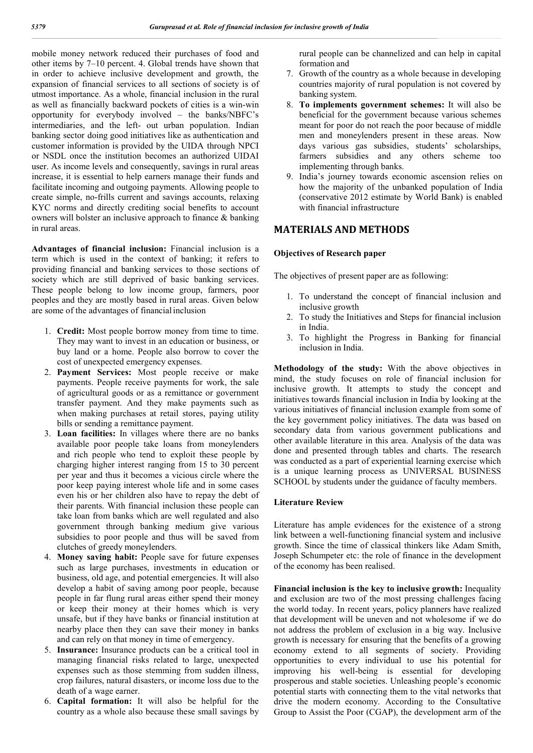mobile money network reduced their purchases of food and other items by 7–10 percent. 4. Global trends have shown that in order to achieve inclusive development and growth, the expansion of financial services to all sections of society is of utmost importance. As a whole, financial inclusion in the rural as well as financially backward pockets of cities is a win-win opportunity for everybody involved – the banks/NBFC's intermediaries, and the left- out urban population. Indian banking sector doing good initiatives like as authentication and customer information is provided by the UIDA through NPCI or NSDL once the institution becomes an authorized UIDAI user. As income levels and consequently, savings in rural areas increase, it is essential to help earners manage their funds and facilitate incoming and outgoing payments. Allowing people to create simple, no-frills current and savings accounts, relaxing KYC norms and directly crediting social benefits to account owners will bolster an inclusive approach to finance & banking in rural areas.

**Advantages of financial inclusion:** Financial inclusion is a term which is used in the context of banking; it refers to providing financial and banking services to those sections of society which are still deprived of basic banking services. These people belong to low income group, farmers, poor peoples and they are mostly based in rural areas. Given below are some of the advantages of financialinclusion

- 1. **Credit:** Most people borrow money from time to time. They may want to invest in an education or business, or buy land or a home. People also borrow to cover the cost of unexpected emergency expenses.
- 2. **Payment Services:** Most people receive or make payments. People receive payments for work, the sale of agricultural goods or as a remittance or government transfer payment. And they make payments such as when making purchases at retail stores, paying utility bills or sending a remittance payment.
- 3. **Loan facilities:** In villages where there are no banks available poor people take loans from moneylenders and rich people who tend to exploit these people by charging higher interest ranging from 15 to 30 percent per year and thus it becomes a vicious circle where the poor keep paying interest whole life and in some cases even his or her children also have to repay the debt of their parents. With financial inclusion these people can take loan from banks which are well regulated and also government through banking medium give various subsidies to poor people and thus will be saved from clutches of greedy moneylenders.
- 4. **Money saving habit:** People save for future expenses such as large purchases, investments in education or business, old age, and potential emergencies. It will also develop a habit of saving among poor people, because people in far flung rural areas either spend their money or keep their money at their homes which is very unsafe, but if they have banks or financial institution at nearby place then they can save their money in banks and can rely on that money in time of emergency.
- 5. **Insurance:** Insurance products can be a critical tool in managing financial risks related to large, unexpected expenses such as those stemming from sudden illness, crop failures, natural disasters, or income loss due to the death of a wage earner.
- 6. **Capital formation:** It will also be helpful for the country as a whole also because these small savings by

rural people can be channelized and can help in capital formation and

- 7. Growth of the country as a whole because in developing countries majority of rural population is not covered by banking system.
- 8. **To implements government schemes:** It will also be beneficial for the government because various schemes meant for poor do not reach the poor because of middle men and moneylenders present in these areas. Now days various gas subsidies, students' scholarships, farmers subsidies and any others scheme too implementing through banks.
- 9. India's journey towards economic ascension relies on how the majority of the unbanked population of India (conservative 2012 estimate by World Bank) is enabled with financial infrastructure

### **MATERIALS AND METHODS**

#### **Objectives of Research paper**

The objectives of present paper are as following:

- 1. To understand the concept of financial inclusion and inclusive growth
- 2. To study the Initiatives and Steps for financial inclusion in India.
- 3. To highlight the Progress in Banking for financial inclusion in India.

**Methodology of the study:** With the above objectives in mind, the study focuses on role of financial inclusion for inclusive growth. It attempts to study the concept and initiatives towards financial inclusion in India by looking at the various initiatives of financial inclusion example from some of the key government policy initiatives. The data was based on secondary data from various government publications and other available literature in this area. Analysis of the data was done and presented through tables and charts. The research was conducted as a part of experiential learning exercise which is a unique learning process as UNIVERSAL BUSINESS SCHOOL by students under the guidance of faculty members.

#### **Literature Review**

Literature has ample evidences for the existence of a strong link between a well-functioning financial system and inclusive growth. Since the time of classical thinkers like Adam Smith, Joseph Schumpeter etc: the role of finance in the development of the economy has been realised.

**Financial inclusion is the key to inclusive growth:** Inequality and exclusion are two of the most pressing challenges facing the world today. In recent years, policy planners have realized that development will be uneven and not wholesome if we do not address the problem of exclusion in a big way. Inclusive growth is necessary for ensuring that the benefits of a growing economy extend to all segments of society. Providing opportunities to every individual to use his potential for improving his well-being is essential for developing prosperous and stable societies. Unleashing people's economic potential starts with connecting them to the vital networks that drive the modern economy. According to the Consultative Group to Assist the Poor (CGAP), the development arm of the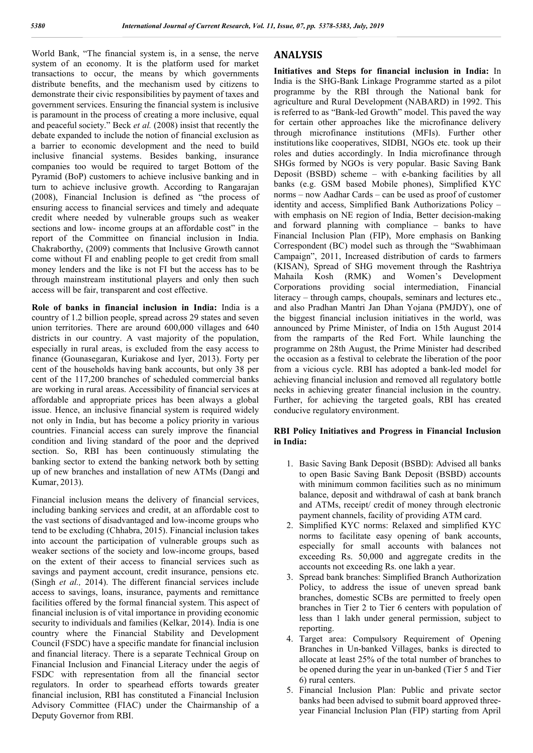World Bank, "The financial system is, in a sense, the nerve system of an economy. It is the platform used for market transactions to occur, the means by which governments distribute benefits, and the mechanism used by citizens to demonstrate their civic responsibilities by payment of taxes and government services. Ensuring the financial system is inclusive is paramount in the process of creating a more inclusive, equal and peaceful society." Beck *et al.* (2008) insist that recently the debate expanded to include the notion of financial exclusion as a barrier to economic development and the need to build inclusive financial systems. Besides banking, insurance companies too would be required to target Bottom of the Pyramid (BoP) customers to achieve inclusive banking and in turn to achieve inclusive growth. According to Rangarajan (2008), Financial Inclusion is defined as "the process of ensuring access to financial services and timely and adequate credit where needed by vulnerable groups such as weaker sections and low- income groups at an affordable cost" in the report of the Committee on financial inclusion in India. Chakraborthy, (2009) comments that Inclusive Growth cannot come without FI and enabling people to get credit from small money lenders and the like is not FI but the access has to be through mainstream institutional players and only then such access will be fair, transparent and cost effective.

**Role of banks in financial inclusion in India:** India is a country of 1.2 billion people, spread across 29 states and seven union territories. There are around 600,000 villages and 640 districts in our country. A vast majority of the population, especially in rural areas, is excluded from the easy access to finance (Gounasegaran, Kuriakose and Iyer, 2013). Forty per cent of the households having bank accounts, but only 38 per cent of the 117,200 branches of scheduled commercial banks are working in rural areas. Accessibility of financial services at affordable and appropriate prices has been always a global issue. Hence, an inclusive financial system is required widely not only in India, but has become a policy priority in various countries. Financial access can surely improve the financial condition and living standard of the poor and the deprived section. So, RBI has been continuously stimulating the banking sector to extend the banking network both by setting up of new branches and installation of new ATMs (Dangi and Kumar, 2013).

Financial inclusion means the delivery of financial services, including banking services and credit, at an affordable cost to the vast sections of disadvantaged and low-income groups who tend to be excluding (Chhabra, 2015). Financial inclusion takes into account the participation of vulnerable groups such as weaker sections of the society and low-income groups, based on the extent of their access to financial services such as savings and payment account, credit insurance, pensions etc. (Singh *et al.,* 2014). The different financial services include access to savings, loans, insurance, payments and remittance facilities offered by the formal financial system. This aspect of financial inclusion is of vital importance in providing economic security to individuals and families (Kelkar, 2014). India is one country where the Financial Stability and Development Council (FSDC) have a specific mandate for financial inclusion and financial literacy. There is a separate Technical Group on Financial Inclusion and Financial Literacy under the aegis of FSDC with representation from all the financial sector regulators. In order to spearhead efforts towards greater financial inclusion, RBI has constituted a Financial Inclusion Advisory Committee (FIAC) under the Chairmanship of a Deputy Governor from RBI.

# **ANALYSIS**

**Initiatives and Steps for financial inclusion in India:** In India is the SHG-Bank Linkage Programme started as a pilot programme by the RBI through the National bank for agriculture and Rural Development (NABARD) in 1992. This is referred to as "Bank-led Growth" model. This paved the way for certain other approaches like the microfinance delivery through microfinance institutions (MFIs). Further other institutionslike cooperatives, SIDBI, NGOs etc. took up their roles and duties accordingly. In India microfinance through SHGs formed by NGOs is very popular. Basic Saving Bank Deposit (BSBD) scheme – with e-banking facilities by all banks (e.g. GSM based Mobile phones), Simplified KYC norms – now Aadhar Cards – can be used as proof of customer identity and access, Simplified Bank Authorizations Policy – with emphasis on NE region of India, Better decision-making and forward planning with compliance – banks to have Financial Inclusion Plan (FIP), More emphasis on Banking Correspondent (BC) model such as through the "Swabhimaan Campaign", 2011, Increased distribution of cards to farmers (KISAN), Spread of SHG movement through the Rashtriya Mahaila Kosh (RMK) and Women's Development Corporations providing social intermediation, Financial literacy – through camps, choupals, seminars and lectures etc., and also Pradhan Mantri Jan Dhan Yojana (PMJDY), one of the biggest financial inclusion initiatives in the world, was announced by Prime Minister, of India on 15th August 2014 from the ramparts of the Red Fort. While launching the programme on 28th August, the Prime Minister had described the occasion as a festival to celebrate the liberation of the poor from a vicious cycle. RBI has adopted a bank-led model for achieving financial inclusion and removed all regulatory bottle necks in achieving greater financial inclusion in the country. Further, for achieving the targeted goals, RBI has created conducive regulatory environment.

#### **RBI Policy Initiatives and Progress in Financial Inclusion in India:**

- 1. Basic Saving Bank Deposit (BSBD): Advised all banks to open Basic Saving Bank Deposit (BSBD) accounts with minimum common facilities such as no minimum balance, deposit and withdrawal of cash at bank branch and ATMs, receipt/ credit of money through electronic payment channels, facility of providing ATM card.
- 2. Simplified KYC norms: Relaxed and simplified KYC norms to facilitate easy opening of bank accounts, especially for small accounts with balances not exceeding Rs. 50,000 and aggregate credits in the accounts not exceeding Rs. one lakh a year.
- 3. Spread bank branches: Simplified Branch Authorization Policy, to address the issue of uneven spread bank branches, domestic SCBs are permitted to freely open branches in Tier 2 to Tier 6 centers with population of less than 1 lakh under general permission, subject to reporting.
- 4. Target area: Compulsory Requirement of Opening Branches in Un-banked Villages, banks is directed to allocate at least 25% of the total number of branches to be opened during the year in un-banked (Tier 5 and Tier 6) rural centers.
- 5. Financial Inclusion Plan: Public and private sector banks had been advised to submit board approved threeyear Financial Inclusion Plan (FIP) starting from April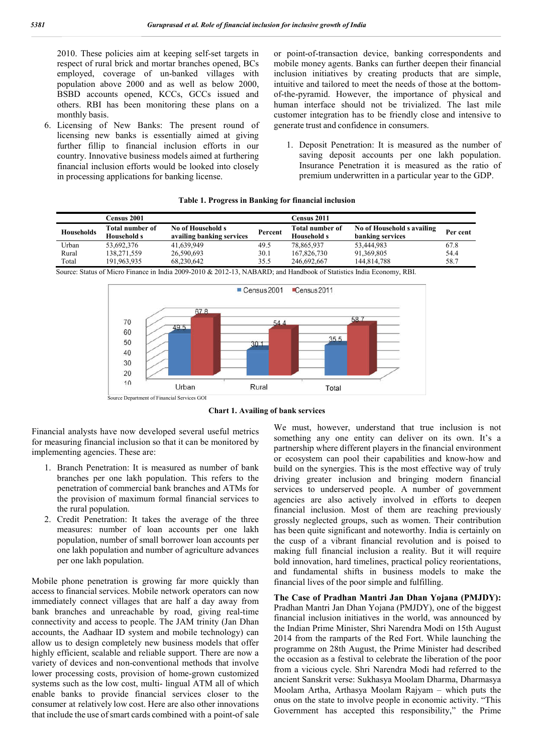2010. These policies aim at keeping self-set targets in respect of rural brick and mortar branches opened, BCs employed, coverage of un-banked villages with population above 2000 and as well as below 2000, BSBD accounts opened, KCCs, GCCs issued and others. RBI has been monitoring these plans on a monthly basis.

6. Licensing of New Banks: The present round of licensing new banks is essentially aimed at giving further fillip to financial inclusion efforts in our country. Innovative business models aimed at furthering financial inclusion efforts would be looked into closely in processing applications for banking license.

or point-of-transaction device, banking correspondents and mobile money agents. Banks can further deepen their financial inclusion initiatives by creating products that are simple, intuitive and tailored to meet the needs of those at the bottomof-the-pyramid. However, the importance of physical and human interface should not be trivialized. The last mile customer integration has to be friendly close and intensive to generate trust and confidence in consumers.

1. Deposit Penetration: It is measured as the number of saving deposit accounts per one lakh population. Insurance Penetration it is measured as the ratio of premium underwritten in a particular year to the GDP.

|  |  | Table 1. Progress in Banking for financial inclusion |  |  |  |  |  |
|--|--|------------------------------------------------------|--|--|--|--|--|
|--|--|------------------------------------------------------|--|--|--|--|--|

|                   | Census 2001                    |                                                |         | Census 2011                                  |                                                |          |
|-------------------|--------------------------------|------------------------------------------------|---------|----------------------------------------------|------------------------------------------------|----------|
| <b>Households</b> | Total number of<br>Household s | No of Household s<br>availing banking services | Percent | <b>Total number of</b><br><b>Household s</b> | No of Household s availing<br>banking services | Per cent |
| Urban             | 53.692.376                     | 41.639.949                                     | 49.5    | 78.865.937                                   | 53.444.983                                     | 67.8     |
| Rural             | 138,271,559                    | 26,590,693                                     | 30.1    | 167,826,730                                  | 91,369,805                                     | 54.4     |
| Total             | 191.963.935                    | 68.230.642                                     | 35.5    | 246.692.667                                  | 144.814.788                                    | 58.7     |
| -<br>_____        | $-1$<br>$-$                    | _  _ _                                         |         | .                                            | _ _ _ _<br>- - -                               |          |

Source: Status of Micro Finance in India 2009-2010 & 2012-13, NABARD; and Handbook of Statistics India Economy, RBI.



**Chart 1. Availing of bank services**

Financial analysts have now developed several useful metrics for measuring financial inclusion so that it can be monitored by implementing agencies. These are:

- 1. Branch Penetration: It is measured as number of bank branches per one lakh population. This refers to the penetration of commercial bank branches and ATMs for the provision of maximum formal financial services to the rural population.
- 2. Credit Penetration: It takes the average of the three measures: number of loan accounts per one lakh population, number of small borrower loan accounts per one lakh population and number of agriculture advances per one lakh population.

Mobile phone penetration is growing far more quickly than access to financial services. Mobile network operators can now immediately connect villages that are half a day away from bank branches and unreachable by road, giving real-time connectivity and access to people. The JAM trinity (Jan Dhan accounts, the Aadhaar ID system and mobile technology) can allow us to design completely new business models that offer highly efficient, scalable and reliable support. There are now a variety of devices and non-conventional methods that involve lower processing costs, provision of home-grown customized systems such as the low cost, multi- lingual ATM all of which enable banks to provide financial services closer to the consumer at relatively low cost. Here are also other innovations that include the use ofsmart cards combined with a point-of sale

We must, however, understand that true inclusion is not something any one entity can deliver on its own. It's a partnership where different players in the financial environment or ecosystem can pool their capabilities and know-how and build on the synergies. This is the most effective way of truly driving greater inclusion and bringing modern financial services to underserved people. A number of government agencies are also actively involved in efforts to deepen financial inclusion. Most of them are reaching previously grossly neglected groups, such as women. Their contribution has been quite significant and noteworthy. India is certainly on the cusp of a vibrant financial revolution and is poised to making full financial inclusion a reality. But it will require bold innovation, hard timelines, practical policy reorientations, and fundamental shifts in business models to make the financial lives of the poor simple and fulfilling.

**The Case of Pradhan Mantri Jan Dhan Yojana (PMJDY):** Pradhan Mantri Jan Dhan Yojana (PMJDY), one of the biggest financial inclusion initiatives in the world, was announced by the Indian Prime Minister, Shri Narendra Modi on 15th August 2014 from the ramparts of the Red Fort. While launching the programme on 28th August, the Prime Minister had described the occasion as a festival to celebrate the liberation of the poor from a vicious cycle. Shri Narendra Modi had referred to the ancient Sanskrit verse: Sukhasya Moolam Dharma, Dharmasya Moolam Artha, Arthasya Moolam Rajyam – which puts the onus on the state to involve people in economic activity. "This Government has accepted this responsibility," the Prime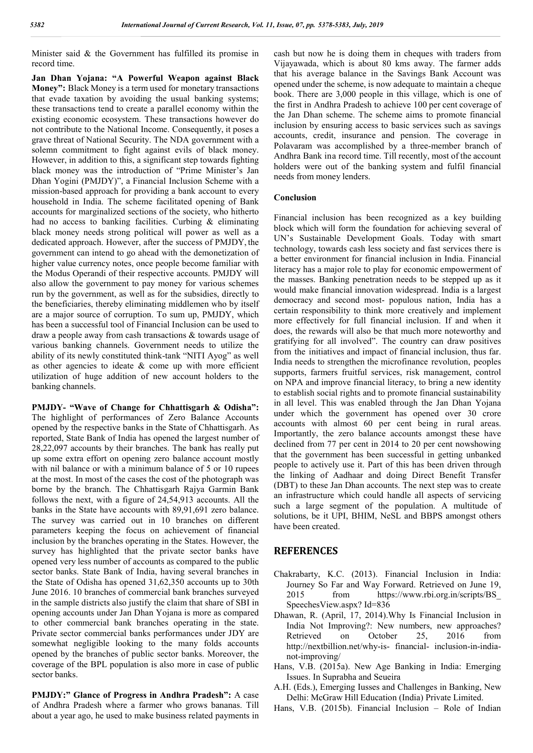Minister said & the Government has fulfilled its promise in record time.

**Jan Dhan Yojana: "A Powerful Weapon against Black Money":** Black Money is a term used for monetary transactions that evade taxation by avoiding the usual banking systems; these transactions tend to create a parallel economy within the existing economic ecosystem. These transactions however do not contribute to the National Income. Consequently, it poses a grave threat of National Security. The NDA government with a solemn commitment to fight against evils of black money. However, in addition to this, a significant step towards fighting black money was the introduction of "Prime Minister's Jan Dhan Yogini (PMJDY)", a Financial Inclusion Scheme with a mission-based approach for providing a bank account to every household in India. The scheme facilitated opening of Bank accounts for marginalized sections of the society, who hitherto had no access to banking facilities. Curbing & eliminating black money needs strong political will power as well as a dedicated approach. However, after the success of PMJDY, the government can intend to go ahead with the demonetization of higher value currency notes, once people become familiar with the Modus Operandi of their respective accounts. PMJDY will also allow the government to pay money for various schemes run by the government, as well as for the subsidies, directly to the beneficiaries, thereby eliminating middlemen who by itself are a major source of corruption. To sum up, PMJDY, which has been a successful tool of Financial Inclusion can be used to draw a people away from cash transactions & towards usage of various banking channels. Government needs to utilize the ability of its newly constituted think-tank "NITI Ayog" as well as other agencies to ideate  $\&$  come up with more efficient utilization of huge addition of new account holders to the banking channels.

**PMJDY- "Wave of Change for Chhattisgarh & Odisha":** The highlight of performances of Zero Balance Accounts opened by the respective banks in the State of Chhattisgarh. As reported, State Bank of India has opened the largest number of 28,22,097 accounts by their branches. The bank has really put up some extra effort on opening zero balance account mostly with nil balance or with a minimum balance of 5 or 10 rupees at the most. In most of the cases the cost of the photograph was borne by the branch. The Chhattisgarh Rajya Garmin Bank follows the next, with a figure of 24,54,913 accounts. All the banks in the State have accounts with 89,91,691 zero balance. The survey was carried out in 10 branches on different parameters keeping the focus on achievement of financial inclusion by the branches operating in the States. However, the survey has highlighted that the private sector banks have opened very less number of accounts as compared to the public sector banks. State Bank of India, having several branches in the State of Odisha has opened 31,62,350 accounts up to 30th June 2016. 10 branches of commercial bank branches surveyed in the sample districts also justify the claim that share of SBI in opening accounts under Jan Dhan Yojana is more as compared to other commercial bank branches operating in the state. Private sector commercial banks performances under JDY are somewhat negligible looking to the many folds accounts opened by the branches of public sector banks. Moreover, the coverage of the BPL population is also more in case of public sector banks.

**PMJDY:" Glance of Progress in Andhra Pradesh":** A case of Andhra Pradesh where a farmer who grows bananas. Till about a year ago, he used to make business related payments in

cash but now he is doing them in cheques with traders from Vijayawada, which is about 80 kms away. The farmer adds that his average balance in the Savings Bank Account was opened under the scheme, is now adequate to maintain a cheque book. There are 3,000 people in this village, which is one of the first in Andhra Pradesh to achieve 100 per cent coverage of the Jan Dhan scheme. The scheme aims to promote financial inclusion by ensuring access to basic services such as savings accounts, credit, insurance and pension. The coverage in Polavaram was accomplished by a three-member branch of Andhra Bank ina record time. Till recently, most of the account holders were out of the banking system and fulfil financial needs from money lenders.

#### **Conclusion**

Financial inclusion has been recognized as a key building block which will form the foundation for achieving several of UN's Sustainable Development Goals. Today with smart technology, towards cash less society and fast services there is a better environment for financial inclusion in India. Financial literacy has a major role to play for economic empowerment of the masses. Banking penetration needs to be stepped up as it would make financial innovation widespread. India is a largest democracy and second most- populous nation, India has a certain responsibility to think more creatively and implement more effectively for full financial inclusion. If and when it does, the rewards will also be that much more noteworthy and gratifying for all involved". The country can draw positives from the initiatives and impact of financial inclusion, thus far. India needs to strengthen the microfinance revolution, peoples supports, farmers fruitful services, risk management, control on NPA and improve financial literacy, to bring a new identity to establish social rights and to promote financial sustainability in all level. This was enabled through the Jan Dhan Yojana under which the government has opened over 30 crore accounts with almost 60 per cent being in rural areas. Importantly, the zero balance accounts amongst these have declined from 77 per cent in 2014 to 20 per cent nowshowing that the government has been successful in getting unbanked people to actively use it. Part of this has been driven through the linking of Aadhaar and doing Direct Benefit Transfer (DBT) to these Jan Dhan accounts. The next step was to create an infrastructure which could handle all aspects of servicing such a large segment of the population. A multitude of solutions, be it UPI, BHIM, NeSL and BBPS amongst others have been created.

#### **REFERENCES**

- Chakrabarty, K.C. (2013). Financial Inclusion in India: Journey So Far and Way Forward. Retrieved on June 19, 2015 from https://www.rbi.org.in/scripts/BS\_ SpeechesView.aspx? Id=836
- Dhawan, R. (April, 17, 2014).Why Is Financial Inclusion in India Not Improving?: New numbers, new approaches? Retrieved on October 25, 2016 from http://nextbillion.net/why-is- financial- inclusion-in-indianot-improving/
- Hans, V.B. (2015a). New Age Banking in India: Emerging Issues. In Suprabha and Seueira
- A.H. (Eds.), Emerging Iusses and Challenges in Banking, New Delhi: McGraw Hill Education (India) Private Limited.
- Hans, V.B. (2015b). Financial Inclusion Role of Indian